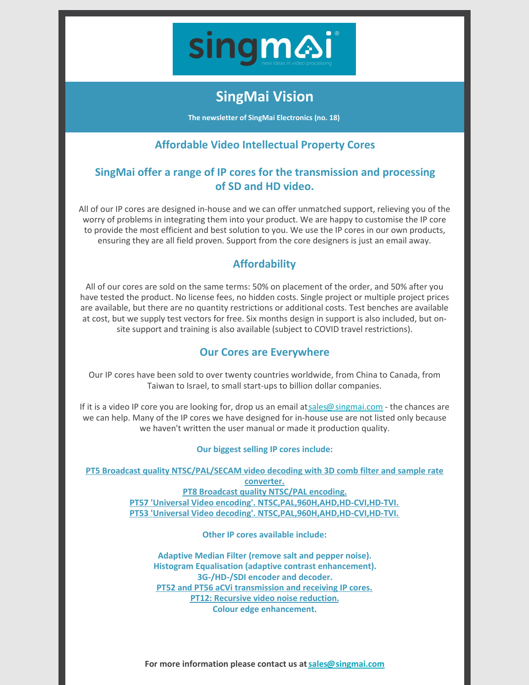

# **SingMai Vision**

**The newsletter of SingMai Electronics (no. 18)**

## **Affordable Video Intellectual Property Cores**

#### **SingMai offer a range of IP cores for the transmission and processing of SD and HD video.**

All of our IP cores are designed in-house and we can offer unmatched support, relieving you of the worry of problems in integrating them into your product. We are happy to customise the IP core to provide the most efficient and best solution to you. We use the IP cores in our own products, ensuring they are all field proven. Support from the core designers is just an email away.

# **Affordability**

All of our cores are sold on the same terms: 50% on placement of the order, and 50% after you have tested the product. No license fees, no hidden costs. Single project or multiple project prices are available, but there are no quantity restrictions or additional costs. Test benches are available at cost, but we supply test vectors for free. Six months design in support is also included, but onsite support and training is also available (subject to COVID travel restrictions).

### **Our Cores are Everywhere**

Our IP cores have been sold to over twenty countries worldwide, from China to Canada, from Taiwan to Israel, to small start-ups to billion dollar companies.

If it is a video IP core you are looking for, drop us an email at[sales@singmai.com](mailto:sales@singmai.com) - the chances are we can help. Many of the IP cores we have designed for in-house use are not listed only because we haven't written the user manual or made it production quality.

#### **Our biggest selling IP cores include:**

**PT5 Broadcast quality [NTSC/PAL/SECAM](https://www.singmai.com/IP_Cores/PT5.html) video decoding with 3D comb filter and sample rate converter.**

**PT8 Broadcast quality [NTSC/PAL](https://www.singmai.com/IP_Cores/PT8.html) encoding. PT57 'Universal Video encoding'. [NTSC,PAL,960H,AHD,HD-CVI,HD-TVI.](https://www.singmai.com/IP_Cores/PT57.html) PT53 'Universal Video decoding'. [NTSC,PAL,960H,AHD,HD-CVI,HD-TVI.](https://www.singmai.com/IP_Cores/PT53.html)**

**Other IP cores available include:**

**Adaptive Median Filter (remove salt and pepper noise). Histogram Equalisation (adaptive contrast enhancement). 3G-/HD-/SDI encoder and decoder. PT52 and PT56 aCVi [transmission](https://www.singmai.com/IP_Cores/PT56.html) and receiving IP cores. PT12: Recursive video noise [reduction.](https://www.singmai.com/IP_Cores/PT12.html) Colour edge enhancement.**

**For more information please contact us at[sales@singmai.com](mailto:sales@singmai.com)**